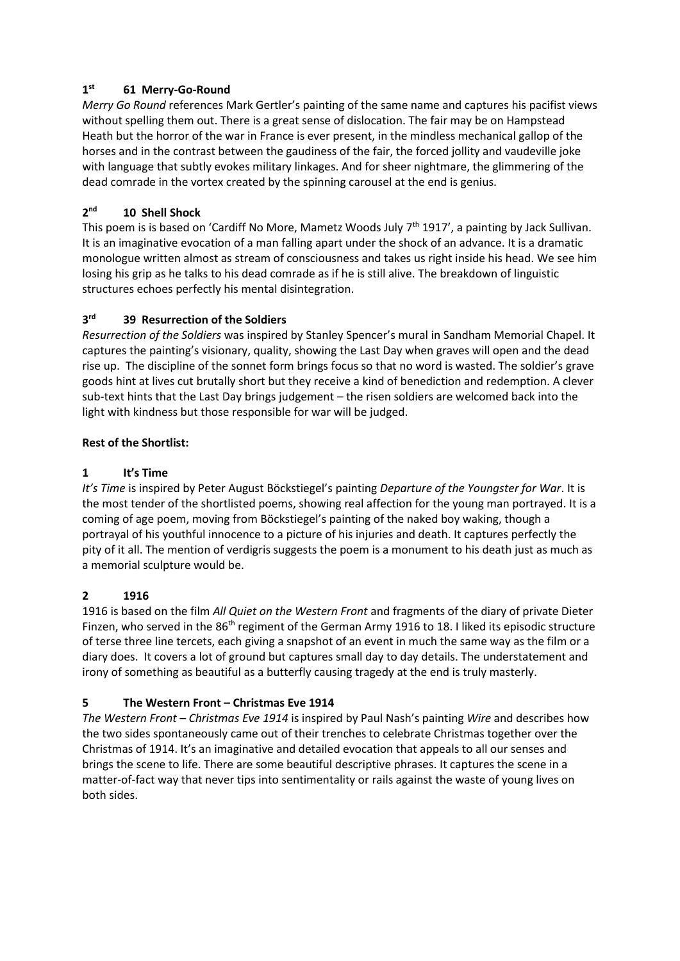### **1 st 61 Merry-Go-Round**

*Merry Go Round* references Mark Gertler's painting of the same name and captures his pacifist views without spelling them out. There is a great sense of dislocation. The fair may be on Hampstead Heath but the horror of the war in France is ever present, in the mindless mechanical gallop of the horses and in the contrast between the gaudiness of the fair, the forced jollity and vaudeville joke with language that subtly evokes military linkages. And for sheer nightmare, the glimmering of the dead comrade in the vortex created by the spinning carousel at the end is genius.

### **2 nd 10 Shell Shock**

This poem is is based on 'Cardiff No More, Mametz Woods July  $7<sup>th</sup>$  1917', a painting by Jack Sullivan. It is an imaginative evocation of a man falling apart under the shock of an advance. It is a dramatic monologue written almost as stream of consciousness and takes us right inside his head. We see him losing his grip as he talks to his dead comrade as if he is still alive. The breakdown of linguistic structures echoes perfectly his mental disintegration.

### **3 rd 39 Resurrection of the Soldiers**

*Resurrection of the Soldiers* was inspired by Stanley Spencer's mural in Sandham Memorial Chapel. It captures the painting's visionary, quality, showing the Last Day when graves will open and the dead rise up. The discipline of the sonnet form brings focus so that no word is wasted. The soldier's grave goods hint at lives cut brutally short but they receive a kind of benediction and redemption. A clever sub-text hints that the Last Day brings judgement – the risen soldiers are welcomed back into the light with kindness but those responsible for war will be judged.

## **Rest of the Shortlist:**

## **1 It's Time**

*It's Time* is inspired by Peter August Böckstiegel's painting *Departure of the Youngster for War*. It is the most tender of the shortlisted poems, showing real affection for the young man portrayed. It is a coming of age poem, moving from Böckstiegel's painting of the naked boy waking, though a portrayal of his youthful innocence to a picture of his injuries and death. It captures perfectly the pity of it all. The mention of verdigris suggests the poem is a monument to his death just as much as a memorial sculpture would be.

## **2 1916**

1916 is based on the film *All Quiet on the Western Front* and fragments of the diary of private Dieter Finzen, who served in the 86<sup>th</sup> regiment of the German Army 1916 to 18. I liked its episodic structure of terse three line tercets, each giving a snapshot of an event in much the same way as the film or a diary does. It covers a lot of ground but captures small day to day details. The understatement and irony of something as beautiful as a butterfly causing tragedy at the end is truly masterly.

# **5 The Western Front – Christmas Eve 1914**

*The Western Front – Christmas Eve 1914* is inspired by Paul Nash's painting *Wire* and describes how the two sides spontaneously came out of their trenches to celebrate Christmas together over the Christmas of 1914. It's an imaginative and detailed evocation that appeals to all our senses and brings the scene to life. There are some beautiful descriptive phrases. It captures the scene in a matter-of-fact way that never tips into sentimentality or rails against the waste of young lives on both sides.